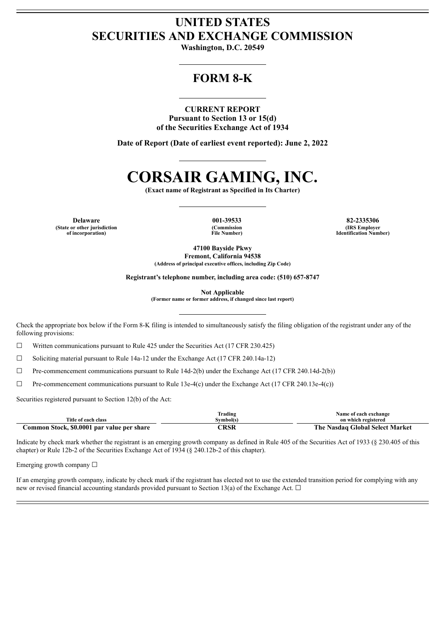## **UNITED STATES SECURITIES AND EXCHANGE COMMISSION**

**Washington, D.C. 20549**

## **FORM 8-K**

### **CURRENT REPORT**

**Pursuant to Section 13 or 15(d) of the Securities Exchange Act of 1934**

**Date of Report (Date of earliest event reported): June 2, 2022**

# **CORSAIR GAMING, INC.**

**(Exact name of Registrant as Specified in Its Charter)**

**Delaware 001-39533 82-2335306 (State or other jurisdiction of incorporation)**

**(Commission File Number)**

**(IRS Employer Identification Number)**

**47100 Bayside Pkwy Fremont, California 94538 (Address of principal executive offices, including Zip Code)**

**Registrant's telephone number, including area code: (510) 657-8747**

**Not Applicable**

**(Former name or former address, if changed since last report)**

Check the appropriate box below if the Form 8-K filing is intended to simultaneously satisfy the filing obligation of the registrant under any of the following provisions:

 $\Box$  Written communications pursuant to Rule 425 under the Securities Act (17 CFR 230.425)

☐ Soliciting material pursuant to Rule 14a-12 under the Exchange Act (17 CFR 240.14a-12)

 $\Box$  Pre-commencement communications pursuant to Rule 14d-2(b) under the Exchange Act (17 CFR 240.14d-2(b))

 $\Box$  Pre-commencement communications pursuant to Rule 13e-4(c) under the Exchange Act (17 CFR 240.13e-4(c))

Securities registered pursuant to Section 12(b) of the Act:

|                                            | Trading   | Name of each exchange           |
|--------------------------------------------|-----------|---------------------------------|
| Title of each class                        | Symbol(s) | on which registered             |
| Common Stock, \$0.0001 par value per share | `RSR      | The Nasdaq Global Select Market |

Indicate by check mark whether the registrant is an emerging growth company as defined in Rule 405 of the Securities Act of 1933 (§ 230.405 of this chapter) or Rule 12b-2 of the Securities Exchange Act of 1934 (§ 240.12b-2 of this chapter).

Emerging growth company  $\Box$ 

If an emerging growth company, indicate by check mark if the registrant has elected not to use the extended transition period for complying with any new or revised financial accounting standards provided pursuant to Section 13(a) of the Exchange Act.  $\Box$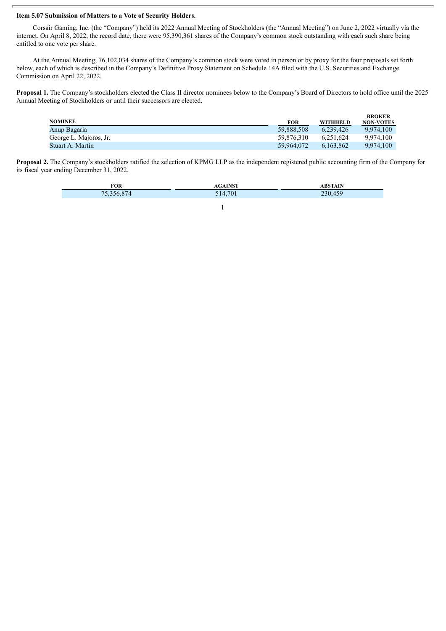#### **Item 5.07 Submission of Matters to a Vote of Security Holders.**

Corsair Gaming, Inc. (the "Company") held its 2022 Annual Meeting of Stockholders (the "Annual Meeting") on June 2, 2022 virtually via the internet. On April 8, 2022, the record date, there were 95,390,361 shares of the Company's common stock outstanding with each such share being entitled to one vote per share.

At the Annual Meeting, 76,102,034 shares of the Company's common stock were voted in person or by proxy for the four proposals set forth below, each of which is described in the Company's Definitive Proxy Statement on Schedule 14A filed with the U.S. Securities and Exchange Commission on April 22, 2022.

**Proposal 1.** The Company's stockholders elected the Class II director nominees below to the Company's Board of Directors to hold office until the 2025 Annual Meeting of Stockholders or until their successors are elected.

|                        |            |                 | <b>BROKER</b>    |
|------------------------|------------|-----------------|------------------|
| <b>NOMINEE</b>         | FOR        | <b>WITHHELD</b> | <b>NON-VOTES</b> |
| Anup Bagaria           | 59.888.508 | 6.239.426       | 9.974.100        |
| George L. Majoros, Jr. | 59.876.310 | 6.251.624       | 9.974.100        |
| Stuart A. Martin       | 59.964.072 | 6.163.862       | 9.974.100        |
|                        |            |                 |                  |

**Proposal 2.** The Company's stockholders ratified the selection of KPMG LLP as the independent registered public accounting firm of the Company for its fiscal year ending December 31, 2022.

| <b>FOR</b>                  | <b>IMCT</b> | <b>ABSTAIN</b> |
|-----------------------------|-------------|----------------|
| $\sim$ $-$<br>$\rightarrow$ | 514,701     | $230 -$        |

1